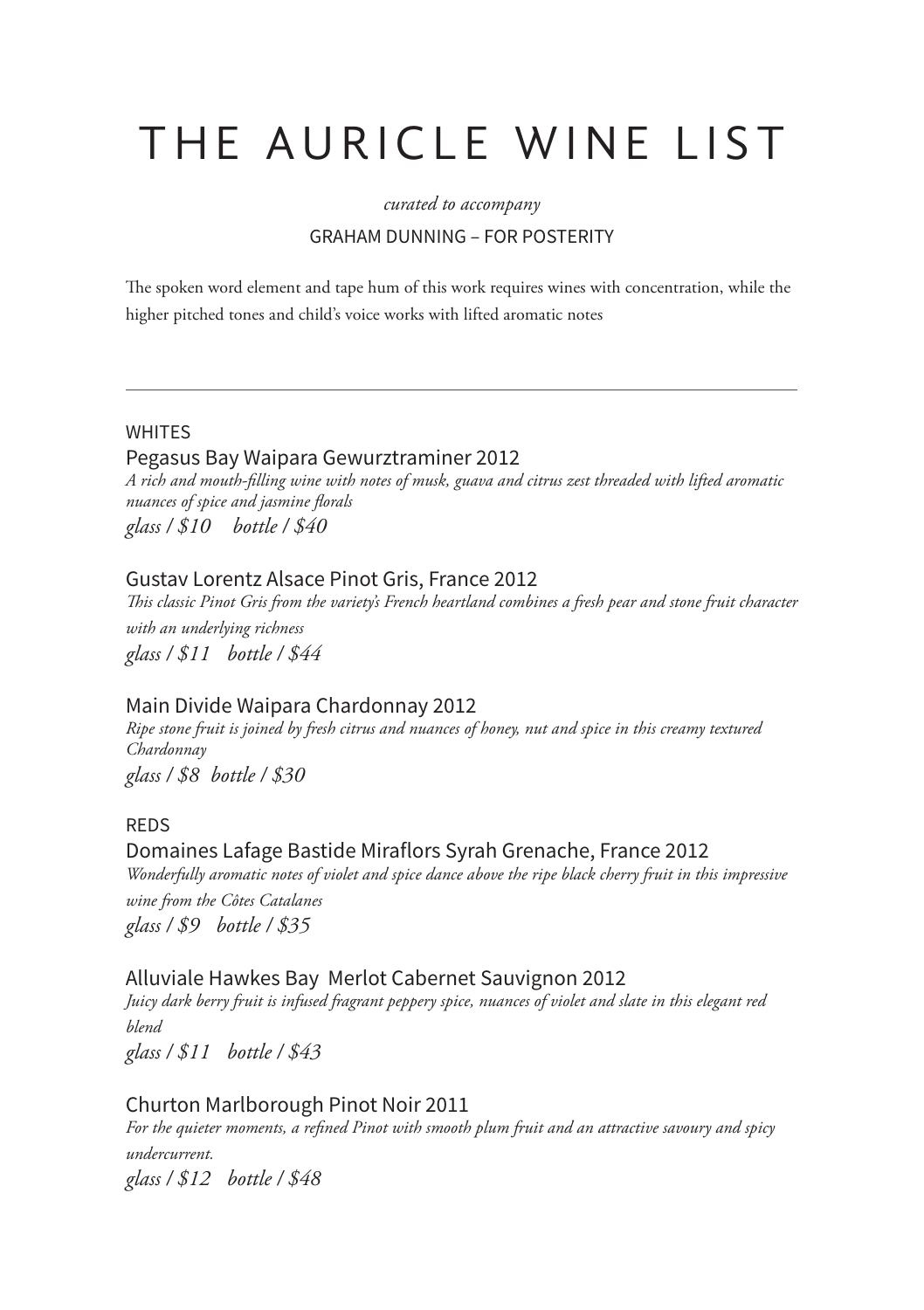# THE AURICLE WINE LIST

#### *curated to accompany*

#### GRAHAM DUNNING – FOR POSTERITY

The spoken word element and tape hum of this work requires wines with concentration, while the higher pitched tones and child's voice works with lifted aromatic notes

#### **WHITES**

#### Pegasus Bay Waipara Gewurztraminer 2012

*A rich and mouth- lling wine with notes of musk, guava and citrus zest threaded with lifted aromatic nuances of spice and jasmine florals glass / \$10 bottle / \$40*

#### Gustav Lorentz Alsace Pinot Gris, France 2012

 *is classic Pinot Gris from the variety's French heartland combines a fresh pear and stone fruit character with an underlying richness glass / \$11 bottle / \$44*

#### Main Divide Waipara Chardonnay 2012

*Ripe stone fruit is joined by fresh citrus and nuances of honey, nut and spice in this creamy textured Chardonnay glass / \$8 bottle / \$30*

#### REDS

#### Domaines Lafage Bastide Miraflors Syrah Grenache, France 2012

*Wonderfully aromatic notes of violet and spice dance above the ripe black cherry fruit in this impressive* 

*wine from the Côtes Catalanes glass / \$9 bottle / \$35*

#### Alluviale Hawkes Bay Merlot Cabernet Sauvignon 2012

*Juicy dark berry fruit is infused fragrant peppery spice, nuances of violet and slate in this elegant red blend glass / \$11 bottle / \$43*

#### Churton Marlborough Pinot Noir 2011

For the quieter moments, a refined Pinot with smooth plum fruit and an attractive savoury and spicy *undercurrent. glass / \$12 bottle / \$48*